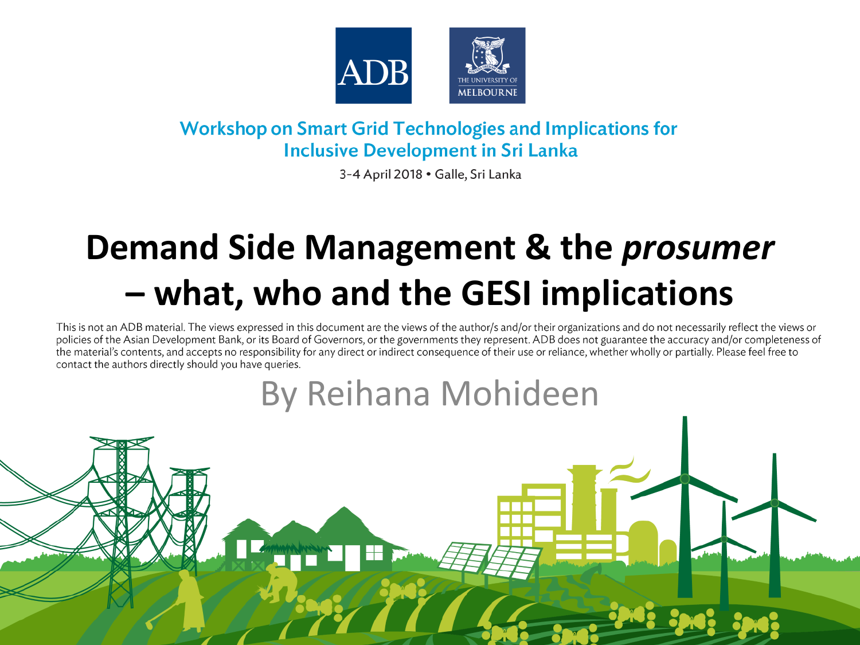

### **Workshop on Smart Grid Technologies and Implications for Inclusive Development in Sri Lanka**

3-4 April 2018 · Galle, Sri Lanka

# Demand Side Management & the *prosumer* - what, who and the GESI implications

This is not an ADB material. The views expressed in this document are the views of the author/s and/or their organizations and do not necessarily reflect the views or policies of the Asian Development Bank, or its Board of Governors, or the governments they represent. ADB does not guarantee the accuracy and/or completeness of the material's contents, and accepts no responsibility for any direct or indirect consequence of their use or reliance, whether wholly or partially. Please feel free to contact the authors directly should you have queries.

## **By Reihana Mohideen**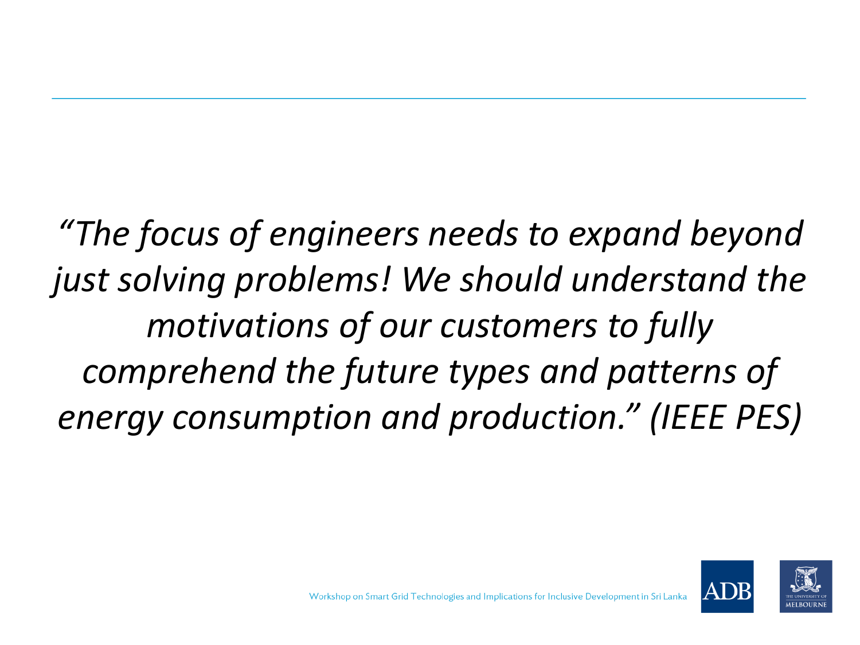*"The focus of engineers needs to expand beyond just solving problems! We should understand the motivations of our customers to fully comprehend the future types and patterns of energy consumption and production." (IEEE PES)*

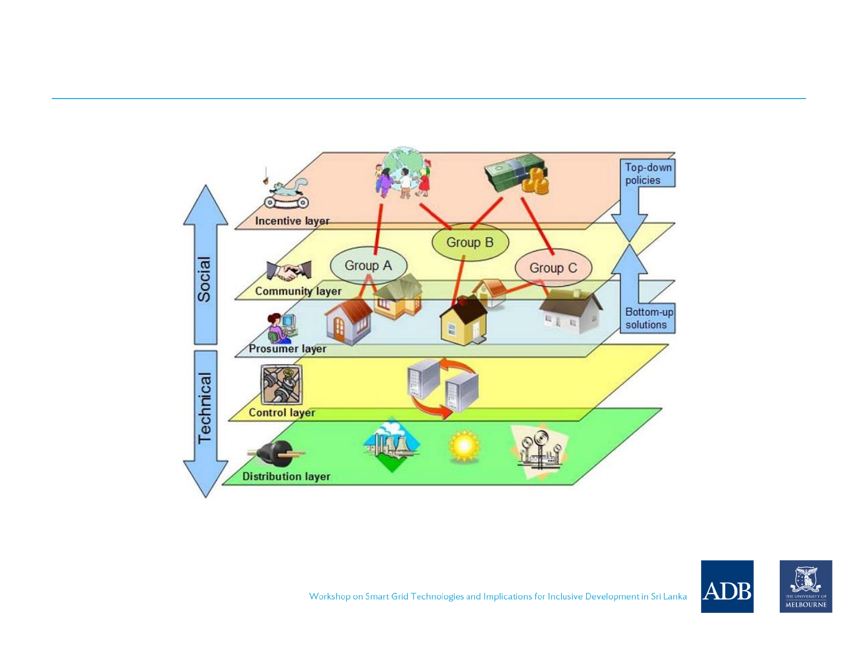

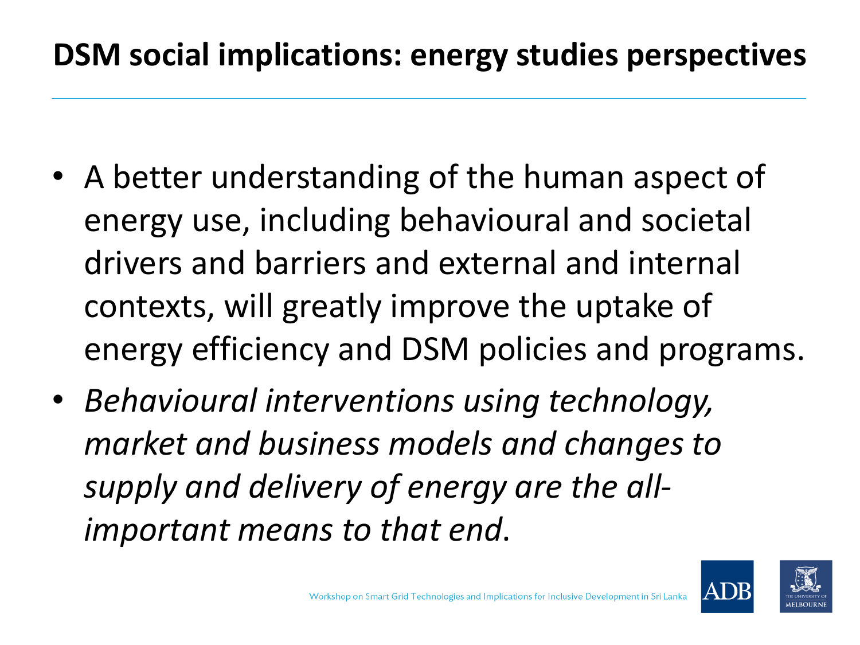### **DSM social implications: energy studies perspectives**

- A better understanding of the human aspect of energy use, including behavioural and societal drivers and barriers and external and internal contexts, will greatly improve the uptake of energy efficiency and DSM policies and programs.
- *Behavioural interventions using technology, market and business models and changes to supply and delivery of energy are the allimportant means to that end*.

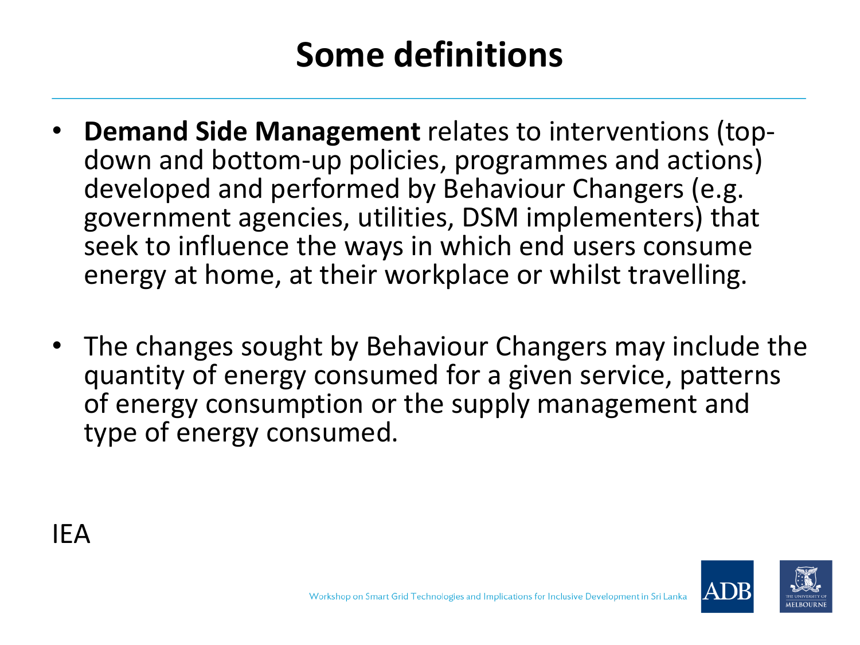# **Some definitions**

- **Demand Side Management** relates to interventions (topdown and bottom-up policies, programmes and actions) developed and performed by Behaviour Changers (e.g. government agencies, utilities, DSM implementers) that seek to influence the ways in which end users consume energy at home, at their workplace or whilst travelling.
- The changes sought by Behaviour Changers may include the quantity of energy consumed for a given service, patterns of energy consumption or the supply management and type of energy consumed.



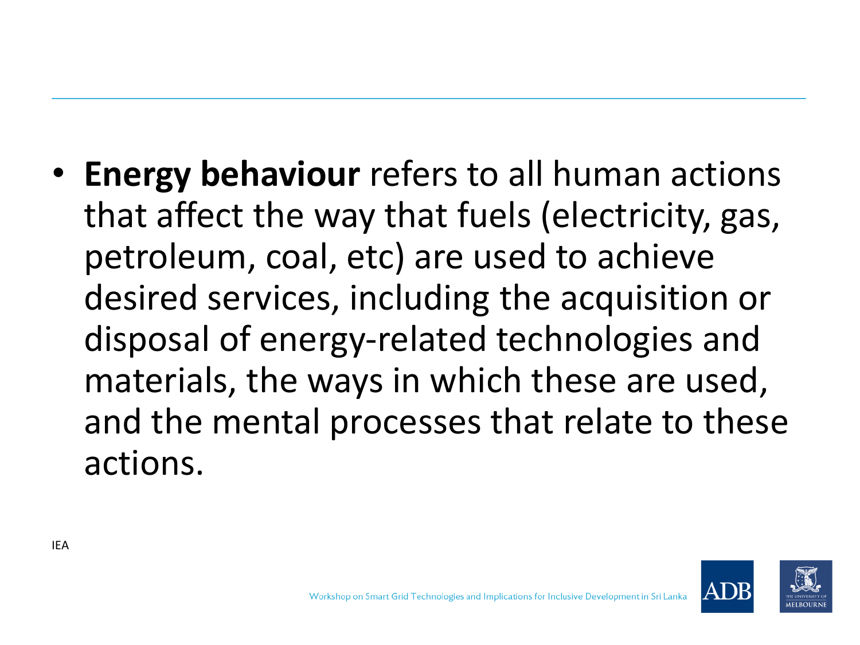• **Energy behaviour** refers to all human actions that affect the way that fuels (electricity, gas, petroleum, coal, etc) are used to achieve desired services, including the acquisition or disposal of energy-related technologies and materials, the ways in which these are used, and the mental processes that relate to these actions.

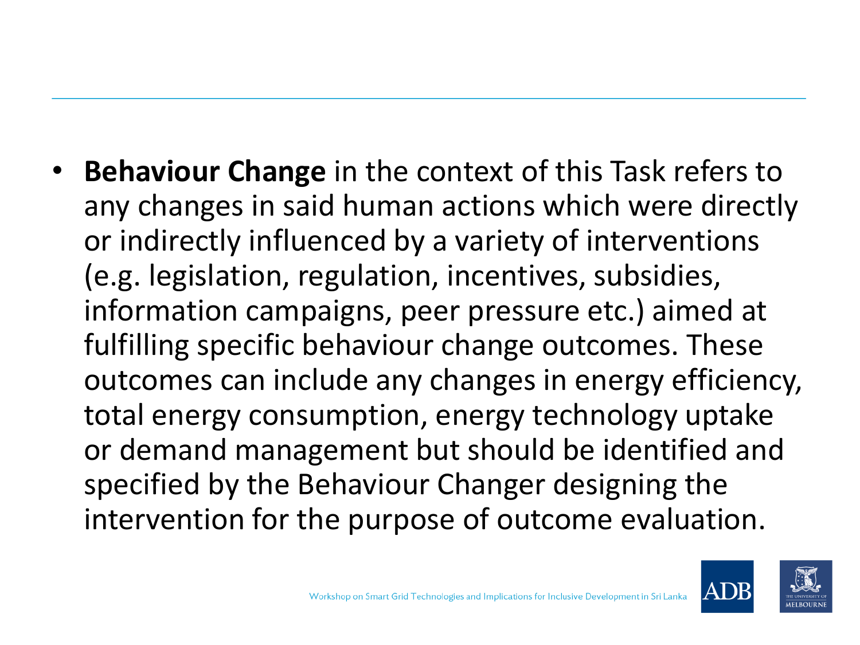• **Behaviour Change** in the context of this Task refers to any changes in said human actions which were directly or indirectly influenced by a variety of interventions (e.g. legislation, regulation, incentives, subsidies, information campaigns, peer pressure etc.) aimed at fulfilling specific behaviour change outcomes. These outcomes can include any changes in energy efficiency, total energy consumption, energy technology uptake or demand management but should be identified and specified by the Behaviour Changer designing the intervention for the purpose of outcome evaluation.

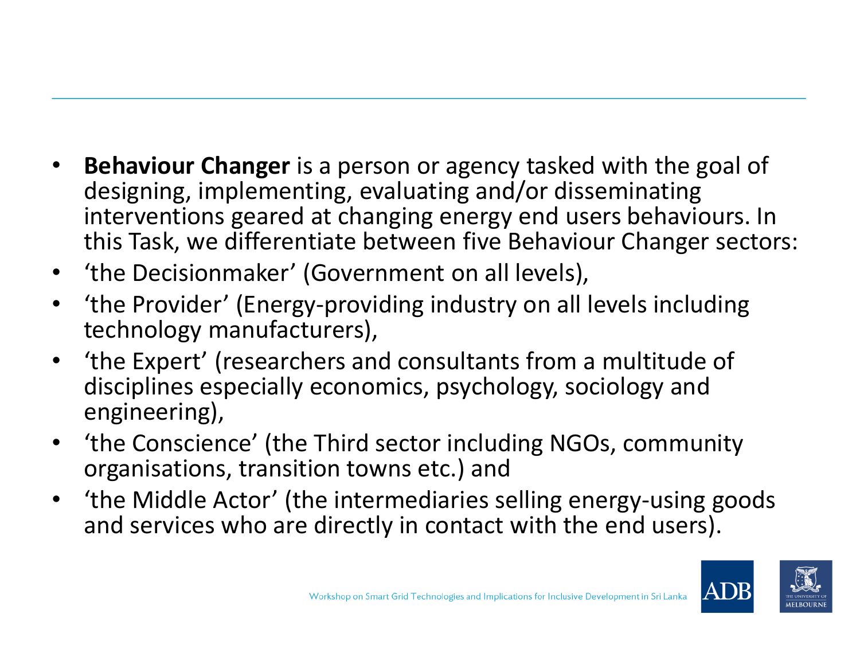- **Behaviour Changer** is a person or agency tasked with the goal of designing, implementing, evaluating and/or disseminating interventions geared at changing energy end users behaviours. In this Task, we differentiate between five Behaviour Changer sectors:
- 'the Decisionmaker' (Government on all levels),
- 'the Provider' (Energy-providing industry on all levels including technology manufacturers),
- 'the Expert' (researchers and consultants from a multitude of disciplines especially economics, psychology, sociology and engineering),
- 'the Conscience' (the Third sector including NGOs, community organisations, transition towns etc.) and
- 'the Middle Actor' (the intermediaries selling energy-using goods and services who are directly in contact with the end users).

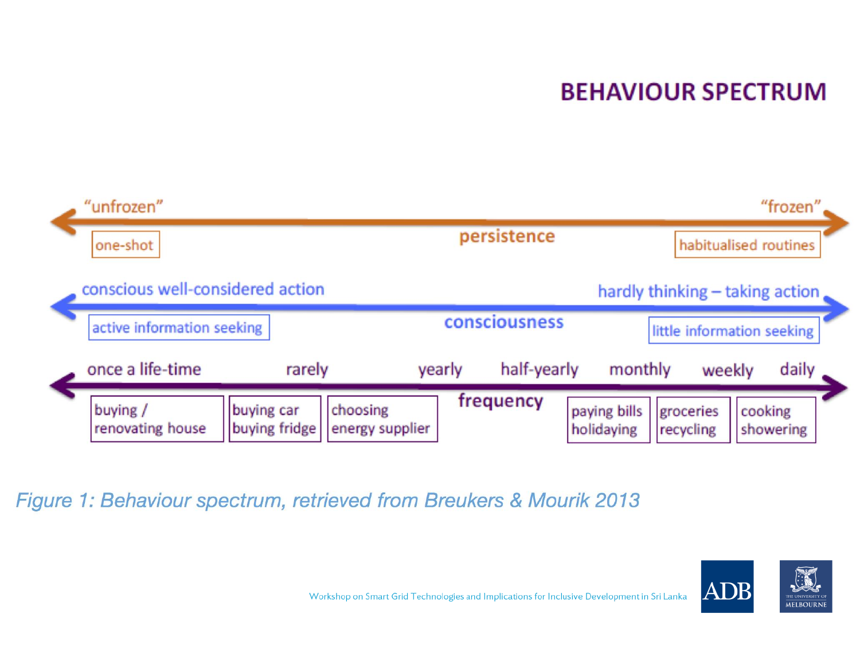### **BEHAVIOUR SPECTRUM**



Figure 1: Behaviour spectrum, retrieved from Breukers & Mourik 2013

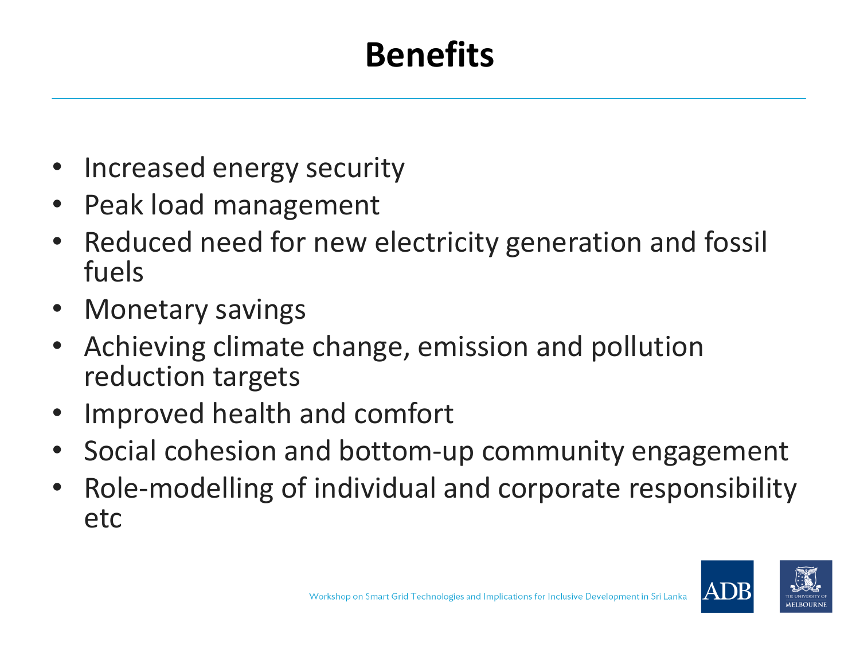# **Benefits**

- Increased energy security
- Peak load management
- Reduced need for new electricity generation and fossil fuels
- Monetary savings
- Achieving climate change, emission and pollution reduction targets
- Improved health and comfort
- Social cohesion and bottom-up community engagement
- Role-modelling of individual and corporate responsibility etc

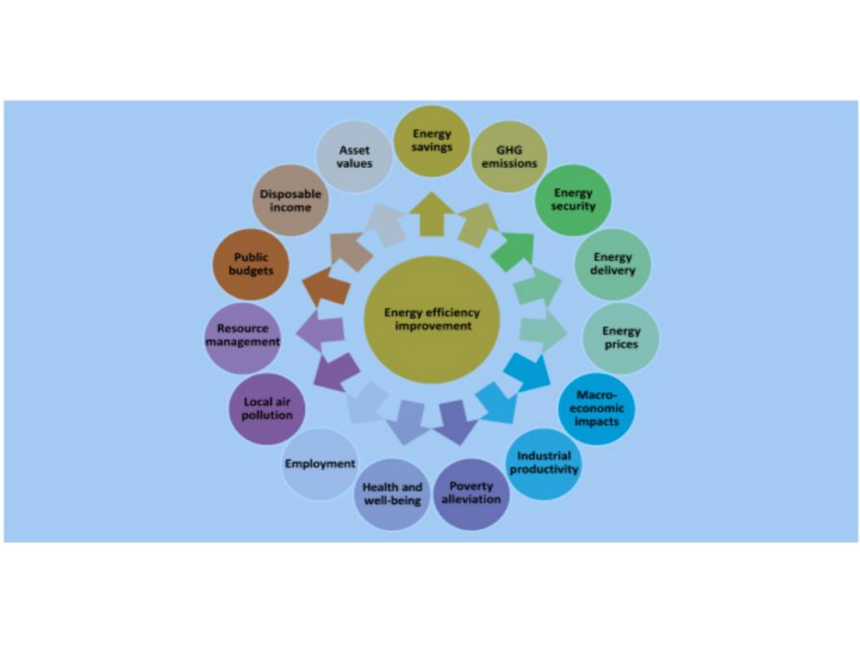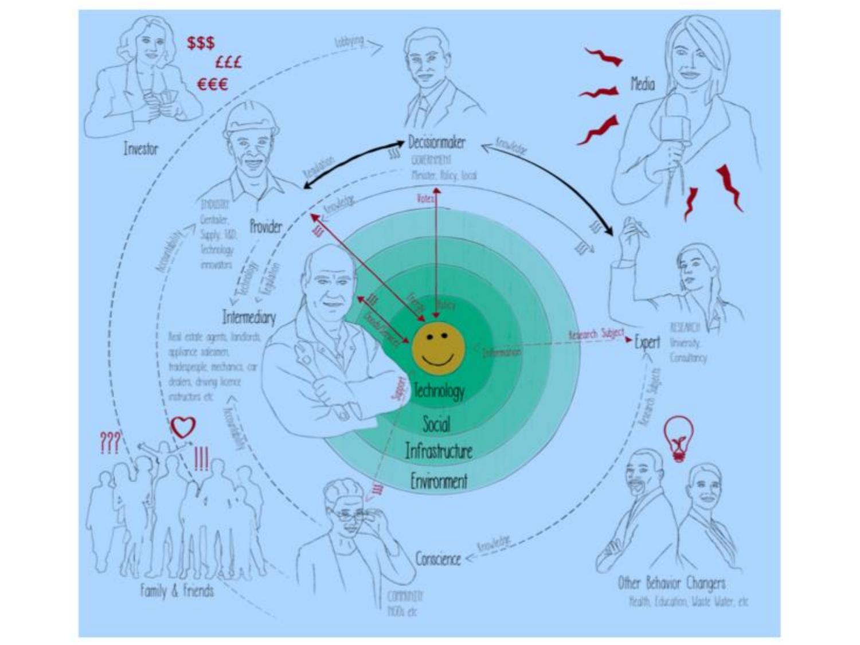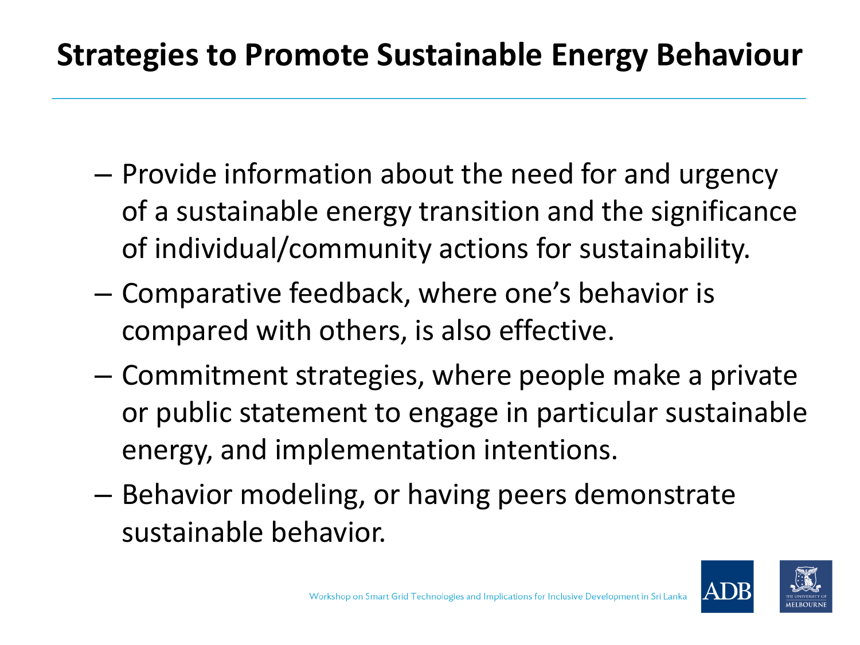### **Strategies to Promote Sustainable Energy Behaviour**

- Provide information about the need for and urgency of a sustainable energy transition and the significance of individual/community actions for sustainability.
- Comparative feedback, where one's behavior is compared with others, is also effective.
- Commitment strategies, where people make a private or public statement to engage in particular sustainable energy, and implementation intentions.
- Behavior modeling, or having peers demonstrate sustainable behavior.

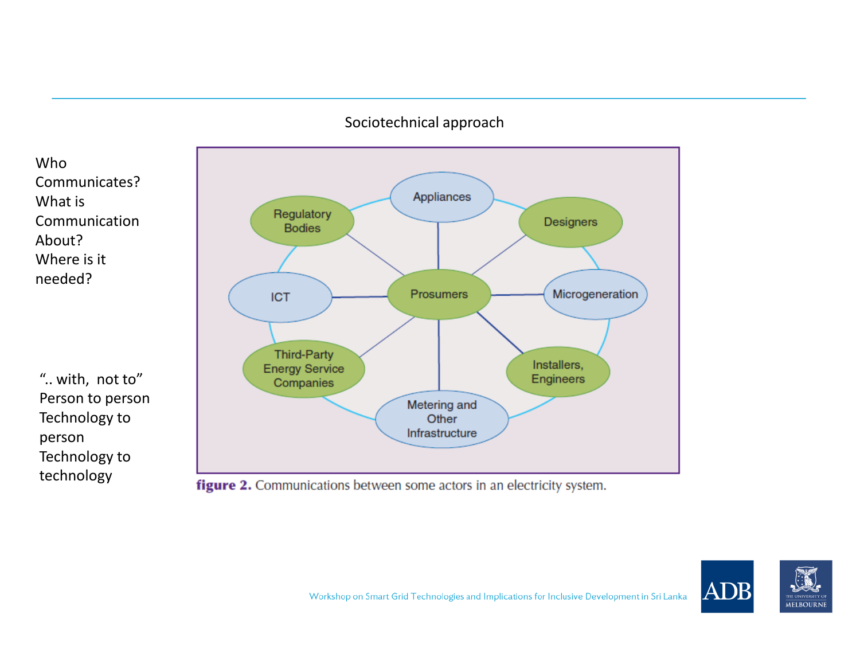#### Sociotechnical approach



".. with, not to" Person to person Technology to person Technology to technology



figure 2. Communications between some actors in an electricity system.

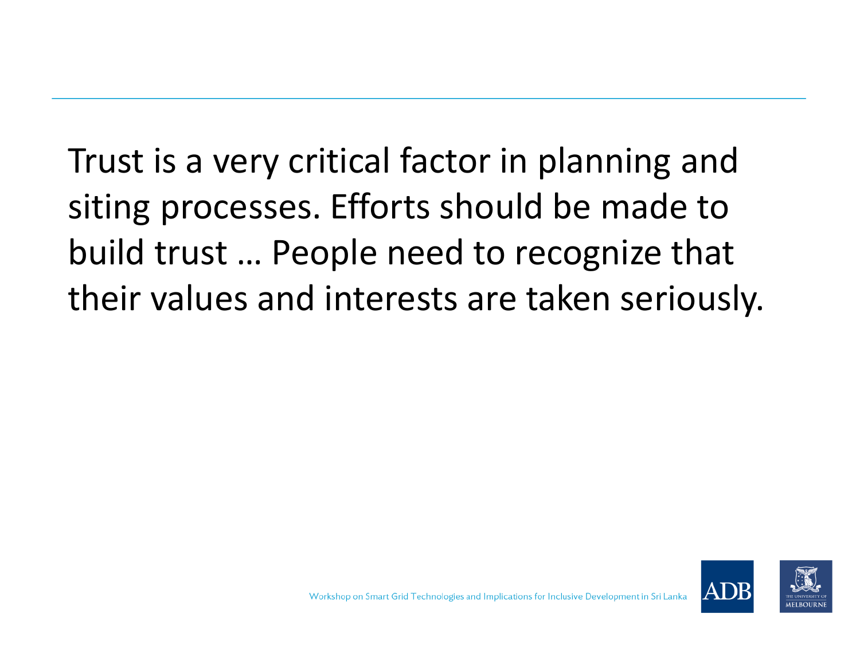Trust is a very critical factor in planning and siting processes. Efforts should be made to build trust … People need to recognize that their values and interests are taken seriously.

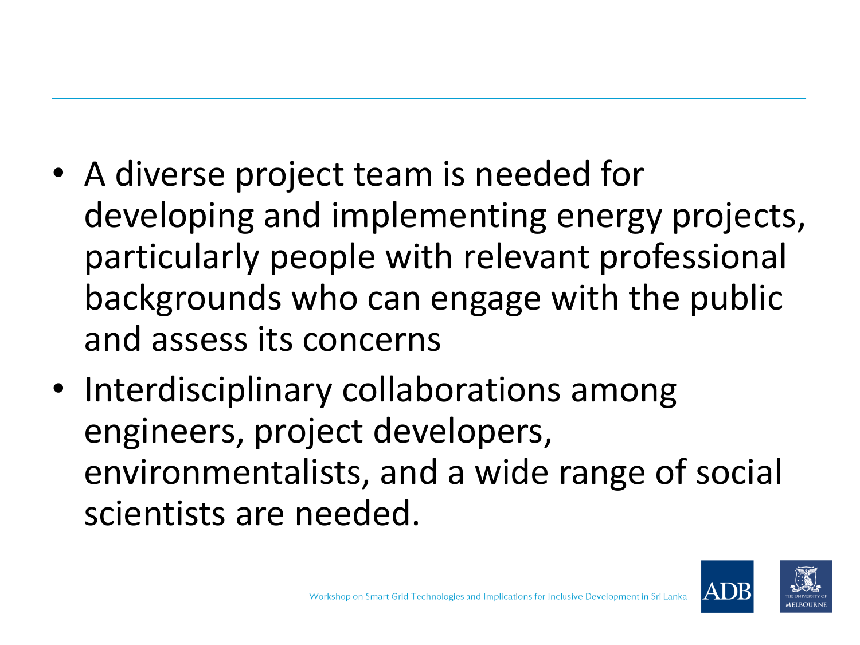- A diverse project team is needed for developing and implementing energy projects, particularly people with relevant professional backgrounds who can engage with the public and assess its concerns
- Interdisciplinary collaborations among engineers, project developers, environmentalists, and a wide range of social scientists are needed.

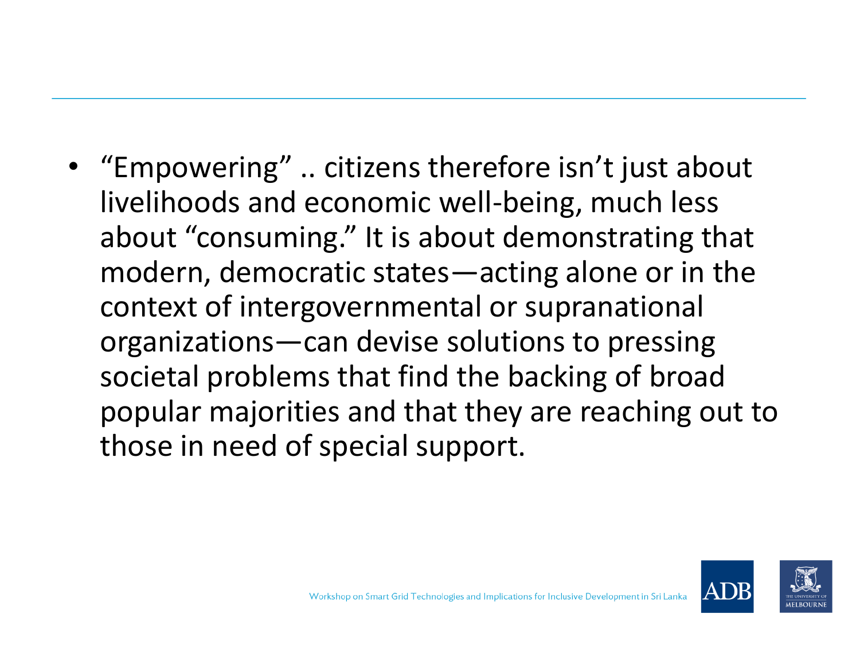• "Empowering" .. citizens therefore isn't just about livelihoods and economic well-being, much less about "consuming." It is about demonstrating that modern, democratic states—acting alone or in the context of intergovernmental or supranational organizations—can devise solutions to pressing societal problems that find the backing of broad popular majorities and that they are reaching out to those in need of special support.

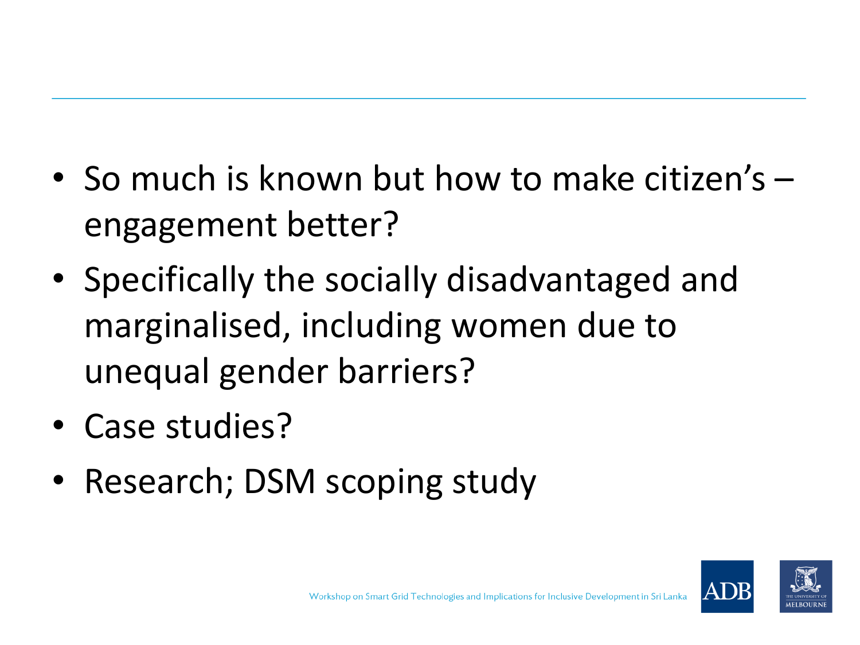- So much is known but how to make citizen's engagement better?
- Specifically the socially disadvantaged and marginalised, including women due to unequal gender barriers?
- Case studies?
- Research; DSM scoping study

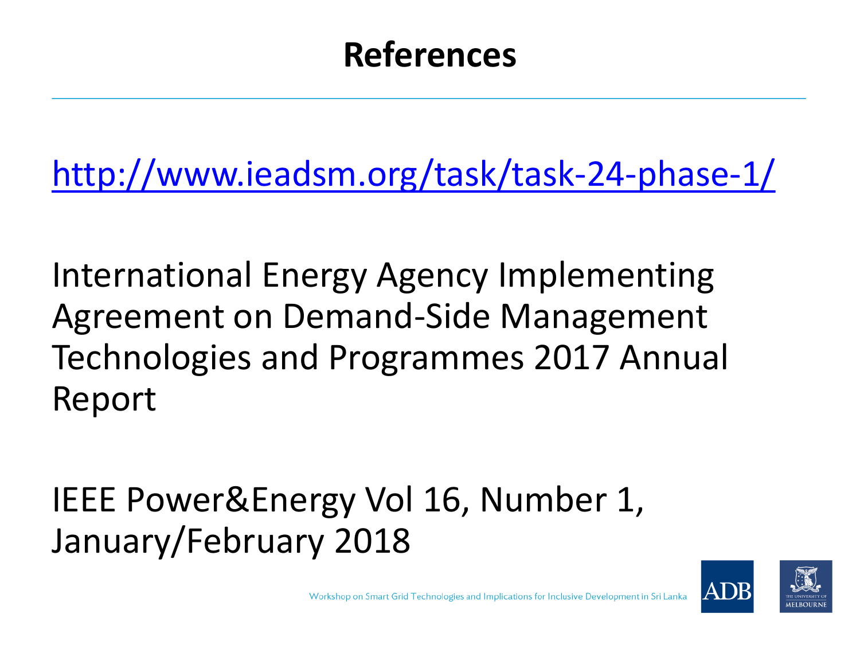## **References**

<http://www.ieadsm.org/task/task-24-phase-1/>

International Energy Agency Implementing Agreement on Demand-Side Management Technologies and Programmes 2017 Annual Report

IEEE Power&Energy Vol 16, Number 1, January/February 2018